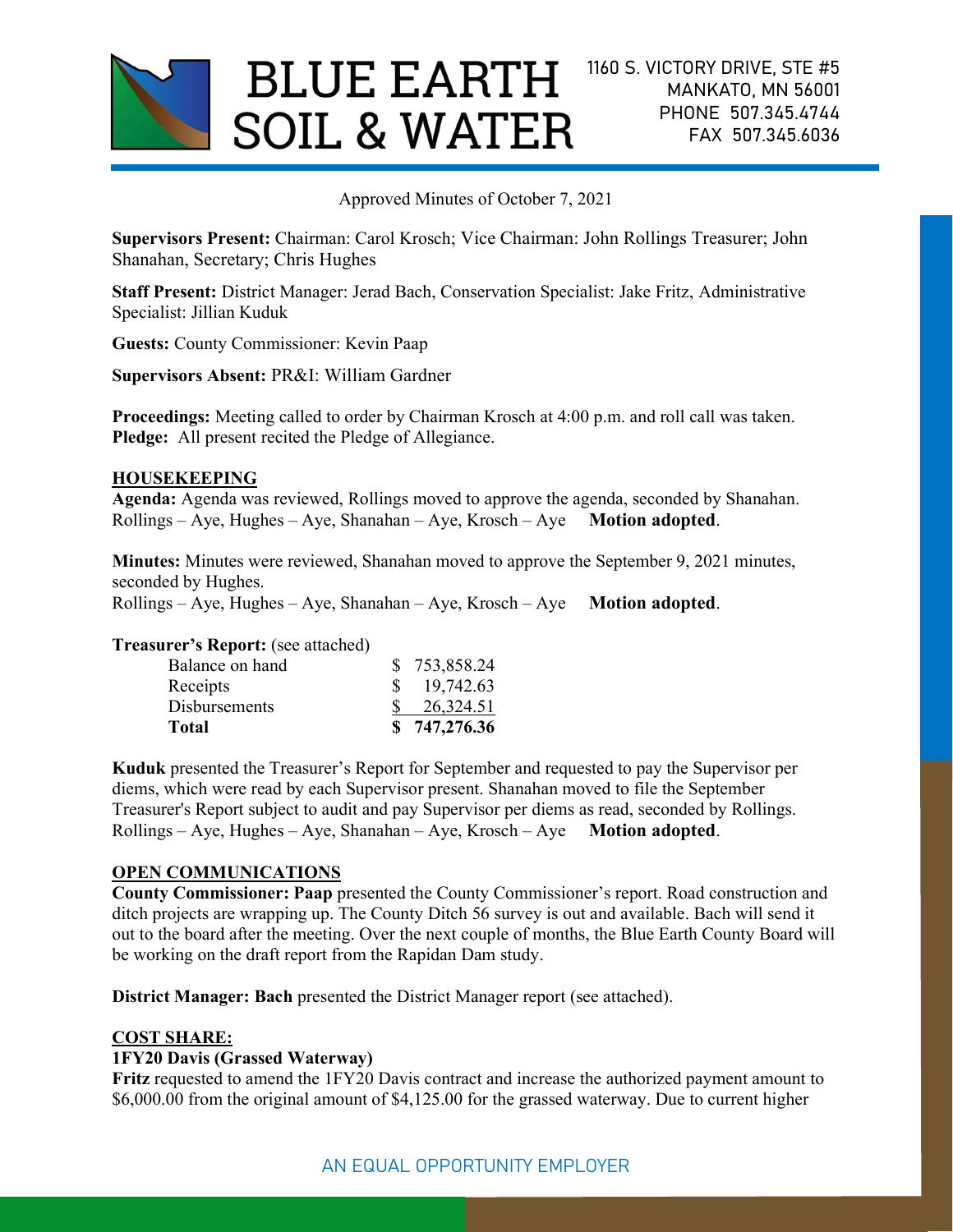

Approved Minutes of October 7, 2021

Supervisors Present: Chairman: Carol Krosch; Vice Chairman: John Rollings Treasurer; John Shanahan, Secretary; Chris Hughes

Staff Present: District Manager: Jerad Bach, Conservation Specialist: Jake Fritz, Administrative Specialist: Jillian Kuduk

Guests: County Commissioner: Kevin Paap

Supervisors Absent: PR&I: William Gardner

Proceedings: Meeting called to order by Chairman Krosch at 4:00 p.m. and roll call was taken. Pledge: All present recited the Pledge of Allegiance.

## HOUSEKEEPING

Agenda: Agenda was reviewed, Rollings moved to approve the agenda, seconded by Shanahan.  $Rollings - Aye$ , Hughes – Aye, Shanahan – Aye, Krosch – Aye Motion adopted.

Minutes: Minutes were reviewed, Shanahan moved to approve the September 9, 2021 minutes, seconded by Hughes.

 $Rollings - Aye$ , Hughes – Aye, Shanahan – Aye, Krosch – Aye Motion adopted.

#### Treasurer's Report: (see attached)

| Total                | \$747,276.36 |
|----------------------|--------------|
| <b>Disbursements</b> | 26,324.51    |
| Receipts             | 19,742.63    |
| Balance on hand      | \$753,858.24 |

Kuduk presented the Treasurer's Report for September and requested to pay the Supervisor per diems, which were read by each Supervisor present. Shanahan moved to file the September Treasurer's Report subject to audit and pay Supervisor per diems as read, seconded by Rollings.  $Rollings - Aye$ , Hughes – Aye, Shanahan – Aye, Krosch – Aye Motion adopted.

# OPEN COMMUNICATIONS

County Commissioner: Paap presented the County Commissioner's report. Road construction and ditch projects are wrapping up. The County Ditch 56 survey is out and available. Bach will send it out to the board after the meeting. Over the next couple of months, the Blue Earth County Board will be working on the draft report from the Rapidan Dam study.

District Manager: Bach presented the District Manager report (see attached).

#### COST SHARE:

# 1FY20 Davis (Grassed Waterway)

Fritz requested to amend the 1FY20 Davis contract and increase the authorized payment amount to \$6,000.00 from the original amount of \$4,125.00 for the grassed waterway. Due to current higher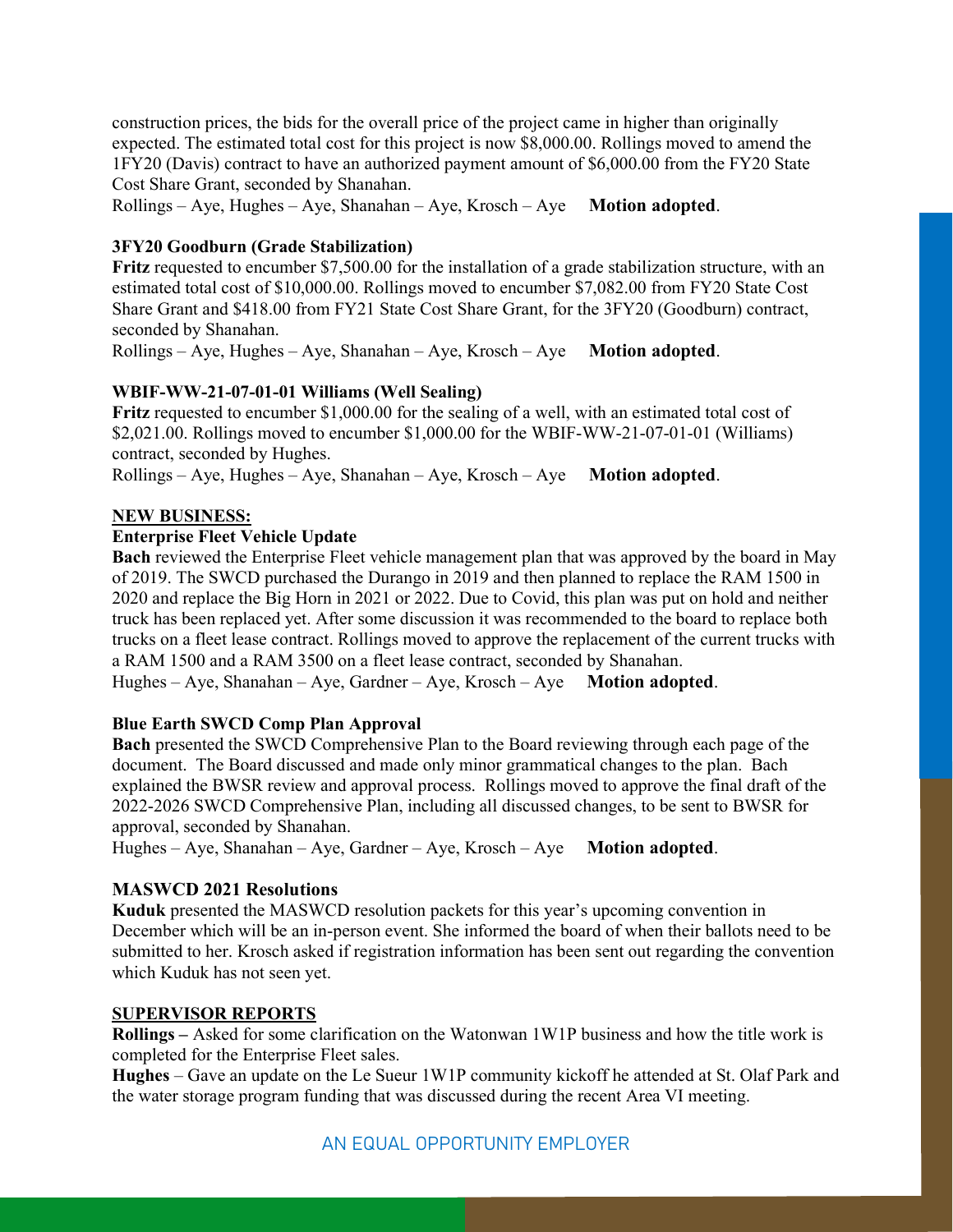construction prices, the bids for the overall price of the project came in higher than originally expected. The estimated total cost for this project is now \$8,000.00. Rollings moved to amend the 1FY20 (Davis) contract to have an authorized payment amount of \$6,000.00 from the FY20 State Cost Share Grant, seconded by Shanahan.

 $Rollings - Aye$ , Hughes – Aye, Shanahan – Aye, Krosch – Aye Motion adopted.

## 3FY20 Goodburn (Grade Stabilization)

Fritz requested to encumber \$7,500.00 for the installation of a grade stabilization structure, with an estimated total cost of \$10,000.00. Rollings moved to encumber \$7,082.00 from FY20 State Cost Share Grant and \$418.00 from FY21 State Cost Share Grant, for the 3FY20 (Goodburn) contract, seconded by Shanahan.

 $Rollings - Aye$ , Hughes – Aye, Shanahan – Aye, Krosch – Aye Motion adopted.

# WBIF-WW-21-07-01-01 Williams (Well Sealing)

Fritz requested to encumber \$1,000.00 for the sealing of a well, with an estimated total cost of \$2,021.00. Rollings moved to encumber \$1,000.00 for the WBIF-WW-21-07-01-01 (Williams) contract, seconded by Hughes.

 $Rollings - Aye$ , Hughes – Aye, Shanahan – Aye, Krosch – Aye Motion adopted.

## NEW BUSINESS:

## Enterprise Fleet Vehicle Update

Bach reviewed the Enterprise Fleet vehicle management plan that was approved by the board in May of 2019. The SWCD purchased the Durango in 2019 and then planned to replace the RAM 1500 in 2020 and replace the Big Horn in 2021 or 2022. Due to Covid, this plan was put on hold and neither truck has been replaced yet. After some discussion it was recommended to the board to replace both trucks on a fleet lease contract. Rollings moved to approve the replacement of the current trucks with a RAM 1500 and a RAM 3500 on a fleet lease contract, seconded by Shanahan.

Hughes – Aye, Shanahan – Aye, Gardner – Aye, Krosch – Aye Motion adopted.

# Blue Earth SWCD Comp Plan Approval

Bach presented the SWCD Comprehensive Plan to the Board reviewing through each page of the document. The Board discussed and made only minor grammatical changes to the plan. Bach explained the BWSR review and approval process. Rollings moved to approve the final draft of the 2022-2026 SWCD Comprehensive Plan, including all discussed changes, to be sent to BWSR for approval, seconded by Shanahan.

Hughes – Aye, Shanahan – Aye, Gardner – Aye, Krosch – Aye Motion adopted.

# MASWCD 2021 Resolutions

Kuduk presented the MASWCD resolution packets for this year's upcoming convention in December which will be an in-person event. She informed the board of when their ballots need to be submitted to her. Krosch asked if registration information has been sent out regarding the convention which Kuduk has not seen yet.

# SUPERVISOR REPORTS

Rollings – Asked for some clarification on the Watonwan 1W1P business and how the title work is completed for the Enterprise Fleet sales.

Hughes – Gave an update on the Le Sueur 1W1P community kickoff he attended at St. Olaf Park and the water storage program funding that was discussed during the recent Area VI meeting.